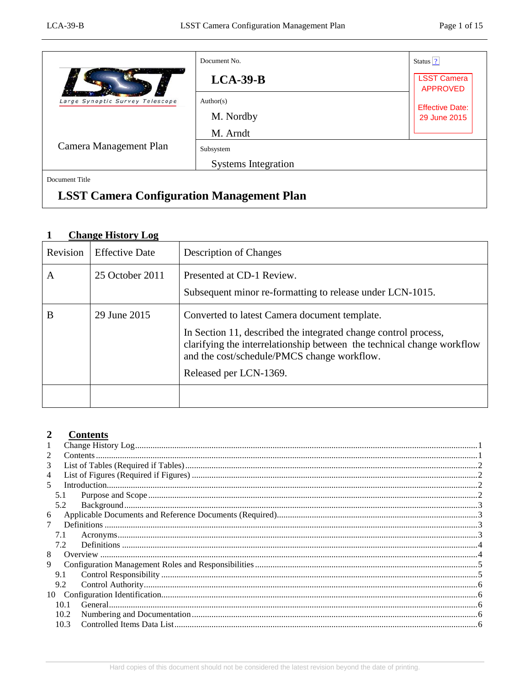|                                 | Document No.               | Status $ 2 $                          |
|---------------------------------|----------------------------|---------------------------------------|
|                                 | $LCA-39-B$                 | <b>LSST Camera</b><br><b>APPROVED</b> |
| Large Synoptic Survey Telescope | Author(s)                  | <b>Effective Date:</b>                |
|                                 | M. Nordby                  | 29 June 2015                          |
|                                 | M. Arndt                   |                                       |
| Camera Management Plan          | Subsystem                  |                                       |
|                                 | <b>Systems Integration</b> |                                       |
| Document Title                  |                            |                                       |

# **LSST Camera Configuration Management Plan**

#### <span id="page-0-0"></span> $\mathbf{1}$ **Change History Log**

| Revision | <b>Effective Date</b> | <b>Description of Changes</b>                                                                                                                                                                                                                                       |  |
|----------|-----------------------|---------------------------------------------------------------------------------------------------------------------------------------------------------------------------------------------------------------------------------------------------------------------|--|
| A        | 25 October 2011       | Presented at CD-1 Review.<br>Subsequent minor re-formatting to release under LCN-1015.                                                                                                                                                                              |  |
| B        | 29 June 2015          | Converted to latest Camera document template.<br>In Section 11, described the integrated change control process,<br>clarifying the interrelationship between the technical change workflow<br>and the cost/schedule/PMCS change workflow.<br>Released per LCN-1369. |  |

#### <span id="page-0-1"></span> $\overline{2}$ **Contents**

| 1              |      |                 |  |
|----------------|------|-----------------|--|
| 2              |      |                 |  |
| 3              |      |                 |  |
| $\overline{4}$ |      |                 |  |
| 5              |      | Introduction 22 |  |
|                | 5.1  |                 |  |
|                | 5.2  |                 |  |
| 6              |      |                 |  |
|                |      |                 |  |
|                |      |                 |  |
|                | 7.1  |                 |  |
|                | 7.2  |                 |  |
| 8              |      |                 |  |
| 9              |      |                 |  |
|                | 9.1  |                 |  |
|                | 9.2  |                 |  |
| 10             |      |                 |  |
|                | 10.1 |                 |  |
|                | 10.2 |                 |  |
|                | 10.3 |                 |  |
|                |      |                 |  |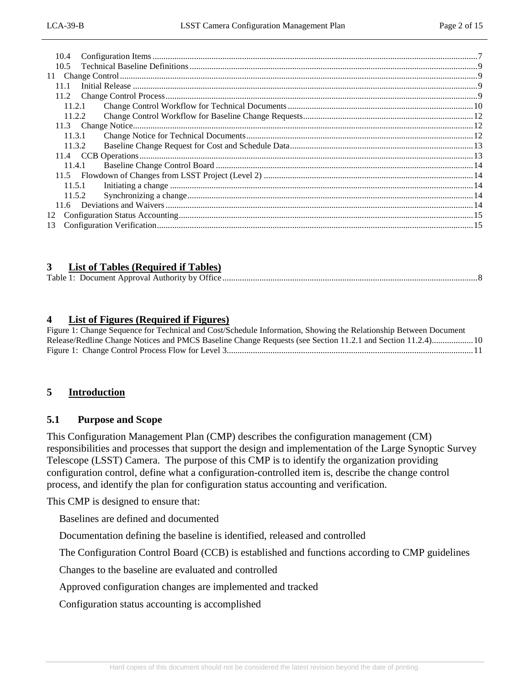| 10.4   |  |
|--------|--|
| 10.5   |  |
| 11     |  |
| 11.1   |  |
|        |  |
| 11.2.1 |  |
| 11.2.2 |  |
|        |  |
| 11.3.1 |  |
| 11.3.2 |  |
|        |  |
| 11.4.1 |  |
|        |  |
| 11.5.1 |  |
| 11.5.2 |  |
|        |  |
| 12     |  |
| 13     |  |

#### <span id="page-1-0"></span>**3 List of Tables (Required if Tables)**

<span id="page-1-1"></span>

| Table 1: | • Document Approval Authority by Office |  |
|----------|-----------------------------------------|--|
|          |                                         |  |

#### **4 List of Figures (Required if Figures)**

Figure 1: Change Sequence for Technical and [Cost/Schedule Information, Showing the Relationship Between Document](#page-9-1)  [Release/Redline Change Notices and PMCS Baseline Change Requests \(see Section 11.2.1 and Section 11.2.4\)...................10](#page-9-1) [Figure 1: Change Control Process Flow for Level 3.................................................................................................................11](#page-10-0)

#### <span id="page-1-3"></span><span id="page-1-2"></span>**5 Introduction**

#### **5.1 Purpose and Scope**

This Configuration Management Plan (CMP) describes the configuration management (CM) responsibilities and processes that support the design and implementation of the Large Synoptic Survey Telescope (LSST) Camera. The purpose of this CMP is to identify the organization providing configuration control, define what a configuration-controlled item is, describe the change control process, and identify the plan for configuration status accounting and verification.

This CMP is designed to ensure that:

Baselines are defined and documented

Documentation defining the baseline is identified, released and controlled

The Configuration Control Board (CCB) is established and functions according to CMP guidelines

Changes to the baseline are evaluated and controlled

Approved configuration changes are implemented and tracked

Configuration status accounting is accomplished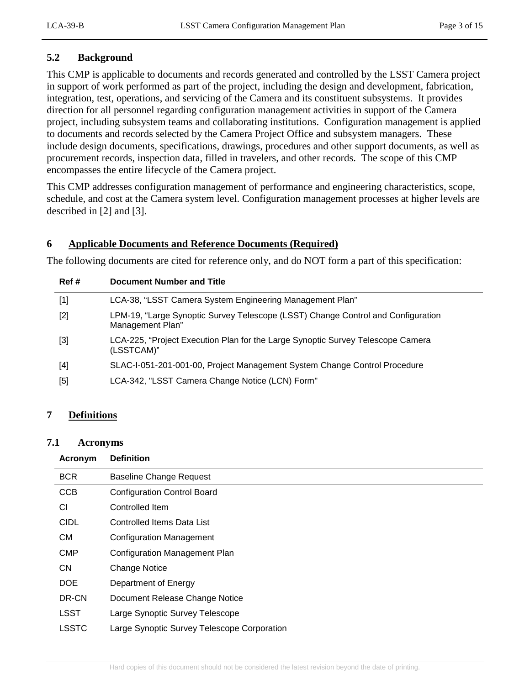# <span id="page-2-0"></span>**5.2 Background**

This CMP is applicable to documents and records generated and controlled by the LSST Camera project in support of work performed as part of the project, including the design and development, fabrication, integration, test, operations, and servicing of the Camera and its constituent subsystems. It provides direction for all personnel regarding configuration management activities in support of the Camera project, including subsystem teams and collaborating institutions. Configuration management is applied to documents and records selected by the Camera Project Office and subsystem managers. These include design documents, specifications, drawings, procedures and other support documents, as well as procurement records, inspection data, filled in travelers, and other records. The scope of this CMP encompasses the entire lifecycle of the Camera project.

This CMP addresses configuration management of performance and engineering characteristics, scope, schedule, and cost at the Camera system level. Configuration management processes at higher levels are described in [2] and [3].

# <span id="page-2-1"></span>**6 Applicable Documents and Reference Documents (Required)**

The following documents are cited for reference only, and do NOT form a part of this specification:

| Ref #                                                                                                                                                                                         | Document Number and Title                                                                            |
|-----------------------------------------------------------------------------------------------------------------------------------------------------------------------------------------------|------------------------------------------------------------------------------------------------------|
| $[1]$                                                                                                                                                                                         | LCA-38, "LSST Camera System Engineering Management Plan"                                             |
| $[2]$                                                                                                                                                                                         | LPM-19, "Large Synoptic Survey Telescope (LSST) Change Control and Configuration<br>Management Plan" |
| $[3]$                                                                                                                                                                                         | LCA-225, "Project Execution Plan for the Large Synoptic Survey Telescope Camera<br>(LSSTCAM)"        |
| $[4] % \includegraphics[width=0.9\columnwidth]{images/TrDiM-Architecture.png} % \caption{The figure shows the results of the estimators in the left and right.} \label{TrDiM-Architecture} %$ | SLAC-I-051-201-001-00, Project Management System Change Control Procedure                            |
| [5]                                                                                                                                                                                           | LCA-342, "LSST Camera Change Notice (LCN) Form"                                                      |
|                                                                                                                                                                                               |                                                                                                      |

#### <span id="page-2-3"></span><span id="page-2-2"></span>**7 Definitions**

#### **7.1 Acronyms**

#### **Acronym Definition**

| <b>BCR</b>   | <b>Baseline Change Request</b>              |
|--------------|---------------------------------------------|
| <b>CCB</b>   | <b>Configuration Control Board</b>          |
| СI           | Controlled Item                             |
| <b>CIDL</b>  | Controlled Items Data List                  |
| <b>CM</b>    | <b>Configuration Management</b>             |
| <b>CMP</b>   | Configuration Management Plan               |
| <b>CN</b>    | <b>Change Notice</b>                        |
| <b>DOE</b>   | Department of Energy                        |
| DR-CN        | Document Release Change Notice              |
| <b>LSST</b>  | Large Synoptic Survey Telescope             |
| <b>LSSTC</b> | Large Synoptic Survey Telescope Corporation |
|              |                                             |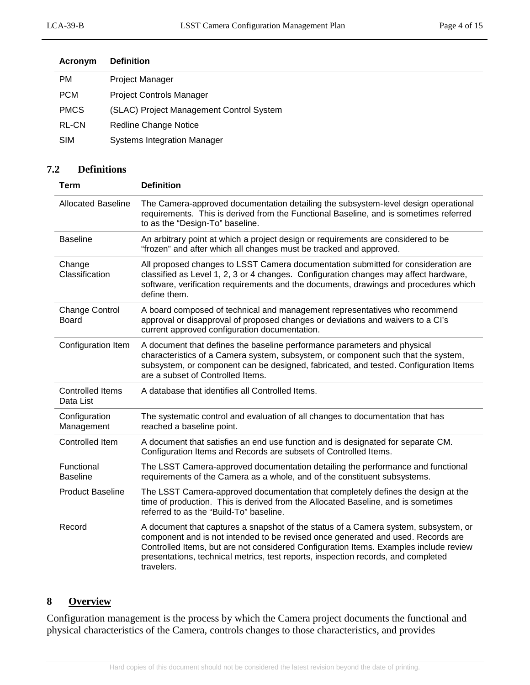| Acronym      | <b>Definition</b>                        |
|--------------|------------------------------------------|
| PM           | Project Manager                          |
| <b>PCM</b>   | <b>Project Controls Manager</b>          |
| <b>PMCS</b>  | (SLAC) Project Management Control System |
| <b>RL-CN</b> | <b>Redline Change Notice</b>             |
| <b>SIM</b>   | <b>Systems Integration Manager</b>       |
|              |                                          |

# <span id="page-3-0"></span>**7.2 Definitions**

| Term                                  | <b>Definition</b>                                                                                                                                                                                                                                                                                                                                                   |
|---------------------------------------|---------------------------------------------------------------------------------------------------------------------------------------------------------------------------------------------------------------------------------------------------------------------------------------------------------------------------------------------------------------------|
| <b>Allocated Baseline</b>             | The Camera-approved documentation detailing the subsystem-level design operational<br>requirements. This is derived from the Functional Baseline, and is sometimes referred<br>to as the "Design-To" baseline.                                                                                                                                                      |
| <b>Baseline</b>                       | An arbitrary point at which a project design or requirements are considered to be<br>"frozen" and after which all changes must be tracked and approved.                                                                                                                                                                                                             |
| Change<br>Classification              | All proposed changes to LSST Camera documentation submitted for consideration are<br>classified as Level 1, 2, 3 or 4 changes. Configuration changes may affect hardware,<br>software, verification requirements and the documents, drawings and procedures which<br>define them.                                                                                   |
| <b>Change Control</b><br><b>Board</b> | A board composed of technical and management representatives who recommend<br>approval or disapproval of proposed changes or deviations and waivers to a Cl's<br>current approved configuration documentation.                                                                                                                                                      |
| Configuration Item                    | A document that defines the baseline performance parameters and physical<br>characteristics of a Camera system, subsystem, or component such that the system,<br>subsystem, or component can be designed, fabricated, and tested. Configuration Items<br>are a subset of Controlled Items.                                                                          |
| <b>Controlled Items</b><br>Data List  | A database that identifies all Controlled Items.                                                                                                                                                                                                                                                                                                                    |
| Configuration<br>Management           | The systematic control and evaluation of all changes to documentation that has<br>reached a baseline point.                                                                                                                                                                                                                                                         |
| Controlled Item                       | A document that satisfies an end use function and is designated for separate CM.<br>Configuration Items and Records are subsets of Controlled Items.                                                                                                                                                                                                                |
| Functional<br><b>Baseline</b>         | The LSST Camera-approved documentation detailing the performance and functional<br>requirements of the Camera as a whole, and of the constituent subsystems.                                                                                                                                                                                                        |
| <b>Product Baseline</b>               | The LSST Camera-approved documentation that completely defines the design at the<br>time of production. This is derived from the Allocated Baseline, and is sometimes<br>referred to as the "Build-To" baseline.                                                                                                                                                    |
| Record                                | A document that captures a snapshot of the status of a Camera system, subsystem, or<br>component and is not intended to be revised once generated and used. Records are<br>Controlled Items, but are not considered Configuration Items. Examples include review<br>presentations, technical metrics, test reports, inspection records, and completed<br>travelers. |

# <span id="page-3-1"></span>**8 Overview**

Configuration management is the process by which the Camera project documents the functional and physical characteristics of the Camera, controls changes to those characteristics, and provides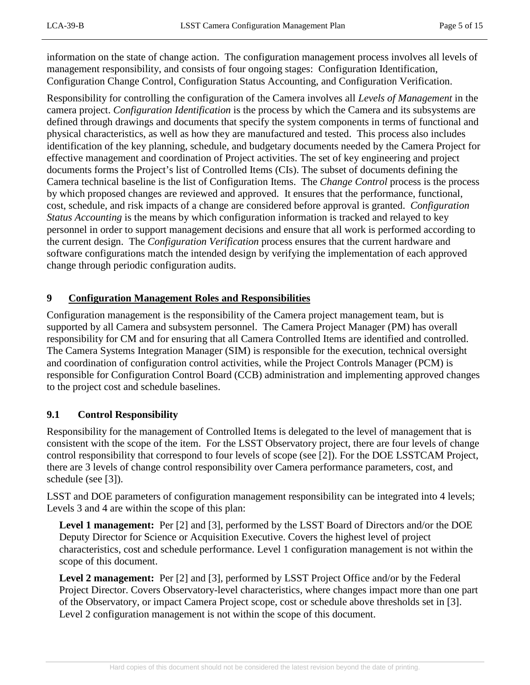information on the state of change action. The configuration management process involves all levels of management responsibility, and consists of four ongoing stages: Configuration Identification, Configuration Change Control, Configuration Status Accounting, and Configuration Verification.

Responsibility for controlling the configuration of the Camera involves all *Levels of Management* in the camera project. *Configuration Identification* is the process by which the Camera and its subsystems are defined through drawings and documents that specify the system components in terms of functional and physical characteristics, as well as how they are manufactured and tested. This process also includes identification of the key planning, schedule, and budgetary documents needed by the Camera Project for effective management and coordination of Project activities. The set of key engineering and project documents forms the Project's list of Controlled Items (CIs). The subset of documents defining the Camera technical baseline is the list of Configuration Items. The *Change Control* process is the process by which proposed changes are reviewed and approved. It ensures that the performance, functional, cost, schedule, and risk impacts of a change are considered before approval is granted. *Configuration Status Accounting* is the means by which configuration information is tracked and relayed to key personnel in order to support management decisions and ensure that all work is performed according to the current design. The *Configuration Verification* process ensures that the current hardware and software configurations match the intended design by verifying the implementation of each approved change through periodic configuration audits.

#### <span id="page-4-0"></span>**9 Configuration Management Roles and Responsibilities**

Configuration management is the responsibility of the Camera project management team, but is supported by all Camera and subsystem personnel. The Camera Project Manager (PM) has overall responsibility for CM and for ensuring that all Camera Controlled Items are identified and controlled. The Camera Systems Integration Manager (SIM) is responsible for the execution, technical oversight and coordination of configuration control activities, while the Project Controls Manager (PCM) is responsible for Configuration Control Board (CCB) administration and implementing approved changes to the project cost and schedule baselines.

# <span id="page-4-1"></span>**9.1 Control Responsibility**

Responsibility for the management of Controlled Items is delegated to the level of management that is consistent with the scope of the item. For the LSST Observatory project, there are four levels of change control responsibility that correspond to four levels of scope (see [2]). For the DOE LSSTCAM Project, there are 3 levels of change control responsibility over Camera performance parameters, cost, and schedule (see [3]).

LSST and DOE parameters of configuration management responsibility can be integrated into 4 levels; Levels 3 and 4 are within the scope of this plan:

**Level 1 management:** Per [2] and [3], performed by the LSST Board of Directors and/or the DOE Deputy Director for Science or Acquisition Executive. Covers the highest level of project characteristics, cost and schedule performance. Level 1 configuration management is not within the scope of this document.

**Level 2 management:** Per [2] and [3], performed by LSST Project Office and/or by the Federal Project Director. Covers Observatory-level characteristics, where changes impact more than one part of the Observatory, or impact Camera Project scope, cost or schedule above thresholds set in [3]. Level 2 configuration management is not within the scope of this document.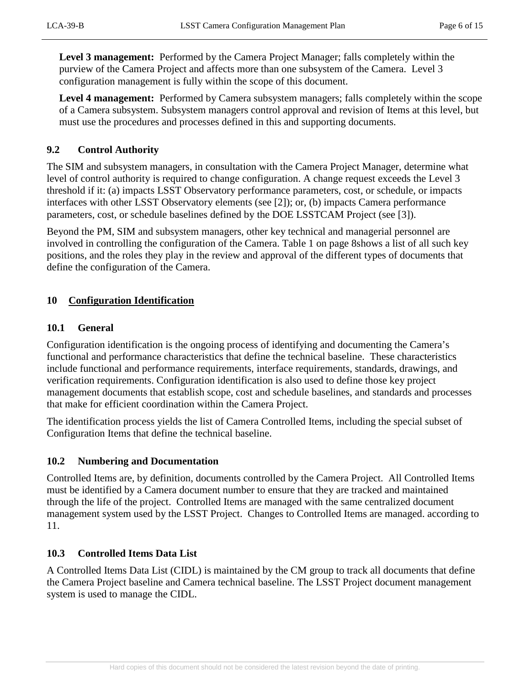**Level 3 management:** Performed by the Camera Project Manager; falls completely within the purview of the Camera Project and affects more than one subsystem of the Camera. Level 3 configuration management is fully within the scope of this document.

**Level 4 management:** Performed by Camera subsystem managers; falls completely within the scope of a Camera subsystem. Subsystem managers control approval and revision of Items at this level, but must use the procedures and processes defined in this and supporting documents.

# <span id="page-5-0"></span>**9.2 Control Authority**

The SIM and subsystem managers, in consultation with the Camera Project Manager, determine what level of control authority is required to change configuration. A change request exceeds the Level 3 threshold if it: (a) impacts LSST Observatory performance parameters, cost, or schedule, or impacts interfaces with other LSST Observatory elements (see [2]); or, (b) impacts Camera performance parameters, cost, or schedule baselines defined by the DOE LSSTCAM Project (see [3]).

Beyond the PM, SIM and subsystem managers, other key technical and managerial personnel are involved in controlling the configuration of the Camera. [Table 1](#page-7-0) on page [8s](#page-7-0)hows a list of all such key positions, and the roles they play in the review and approval of the different types of documents that define the configuration of the Camera.

# <span id="page-5-2"></span><span id="page-5-1"></span>**10 Configuration Identification**

#### **10.1 General**

Configuration identification is the ongoing process of identifying and documenting the Camera's functional and performance characteristics that define the technical baseline. These characteristics include functional and performance requirements, interface requirements, standards, drawings, and verification requirements. Configuration identification is also used to define those key project management documents that establish scope, cost and schedule baselines, and standards and processes that make for efficient coordination within the Camera Project.

The identification process yields the list of Camera Controlled Items, including the special subset of Configuration Items that define the technical baseline.

# <span id="page-5-3"></span>**10.2 Numbering and Documentation**

Controlled Items are, by definition, documents controlled by the Camera Project. All Controlled Items must be identified by a Camera document number to ensure that they are tracked and maintained through the life of the project. Controlled Items are managed with the same centralized document management system used by the LSST Project. Changes to Controlled Items are managed. according to [11.](#page-8-1)

# <span id="page-5-4"></span>**10.3 Controlled Items Data List**

A Controlled Items Data List (CIDL) is maintained by the CM group to track all documents that define the Camera Project baseline and Camera technical baseline. The LSST Project document management system is used to manage the CIDL.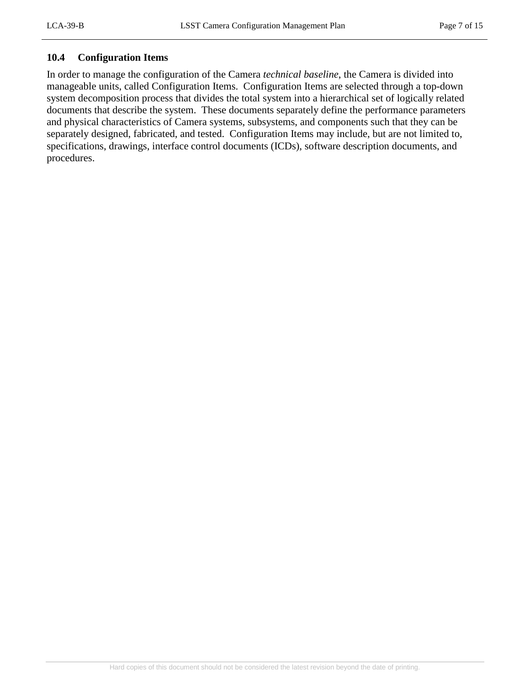#### <span id="page-6-0"></span>**10.4 Configuration Items**

In order to manage the configuration of the Camera *technical baseline*, the Camera is divided into manageable units, called Configuration Items. Configuration Items are selected through a top-down system decomposition process that divides the total system into a hierarchical set of logically related documents that describe the system. These documents separately define the performance parameters and physical characteristics of Camera systems, subsystems, and components such that they can be separately designed, fabricated, and tested. Configuration Items may include, but are not limited to, specifications, drawings, interface control documents (ICDs), software description documents, and procedures.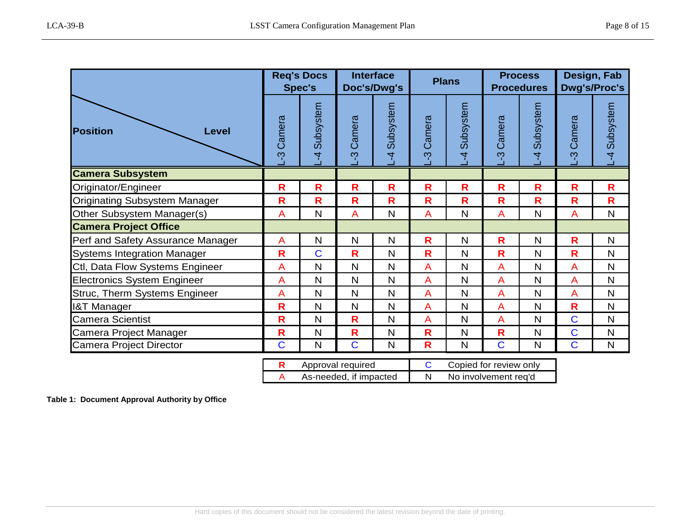| <b>Position</b><br>Level             |                         | <b>Req's Docs</b><br>Spec's |                      | <b>Interface</b><br>Doc's/Dwg's |                | <b>Plans</b>                |                | <b>Process</b><br><b>Procedures</b> |                | Design, Fab<br><b>Dwg's/Proc's</b> |  |
|--------------------------------------|-------------------------|-----------------------------|----------------------|---------------------------------|----------------|-----------------------------|----------------|-------------------------------------|----------------|------------------------------------|--|
|                                      |                         | Subsystem<br>$\overline{4}$ | Camera<br><u>ကို</u> | Subsystem<br>4                  | Camera<br>ကို  | Subsystem<br>$\overline{4}$ | Camera<br>ကို  | Subsystem<br>4                      | Camera<br>ကု   | Subsystem<br>$\overline{A}$        |  |
| <b>Camera Subsystem</b>              |                         |                             |                      |                                 |                |                             |                |                                     |                |                                    |  |
| Originator/Engineer                  | R                       | R.                          | R.                   | R.                              | R.             | R                           | R              | R.                                  | R.             | R                                  |  |
| <b>Originating Subsystem Manager</b> | $\mathbf R$             | $\mathsf{R}$                | $\mathbf R$          | R                               | $\mathbf R$    | $\overline{\mathsf{R}}$     | $\mathbf R$    | R                                   | $\mathbf R$    | R                                  |  |
| Other Subsystem Manager(s)           | $\overline{A}$          | N                           | $\overline{A}$       | N                               | $\overline{A}$ | N                           | A              | N                                   | $\overline{A}$ | N                                  |  |
| <b>Camera Project Office</b>         |                         |                             |                      |                                 |                |                             |                |                                     |                |                                    |  |
| Perf and Safety Assurance Manager    | $\overline{A}$          | N                           | $\mathsf{N}$         | $\mathsf{N}$                    | R.             | $\mathsf{N}$                | $\mathbf R$    | $\mathsf{N}$                        | R              | N                                  |  |
| <b>Systems Integration Manager</b>   | $\mathsf{R}$            | $\overline{C}$              | R                    | $\mathsf{N}$                    | R              | $\mathsf{N}$                | $\mathbf R$    | $\mathsf{N}$                        | R              | N                                  |  |
| Ctl, Data Flow Systems Engineer      | A                       | N                           | N                    | $\mathsf{N}$                    | A              | N                           | $\overline{A}$ | N                                   | $\overline{A}$ | N                                  |  |
| <b>Electronics System Engineer</b>   | $\overline{A}$          | N                           | N                    | $\mathsf{N}$                    | A              | N                           | A              | $\mathsf{N}$                        | $\overline{A}$ | N                                  |  |
| Struc, Therm Systems Engineer        | $\overline{A}$          | $\mathsf{N}$                | $\mathsf{N}$         | $\mathsf{N}$                    | $\overline{A}$ | N                           | $\overline{A}$ | N                                   | $\overline{A}$ | N                                  |  |
| <b>I&amp;T Manager</b>               | $\mathsf{R}$            | N                           | $\mathsf{N}$         | N                               | $\overline{A}$ | N                           | $\overline{A}$ | N                                   | R              | N                                  |  |
| <b>Camera Scientist</b>              | $\overline{\mathbf{R}}$ | N                           | $\mathbf R$          | N                               | $\overline{A}$ | N                           | A              | N                                   | $\overline{C}$ | N                                  |  |
| Camera Project Manager               | R                       | N                           | $\mathbf R$          | $\mathsf{N}$                    | R              | N                           | $\mathbf R$    | N                                   | $\mathbf C$    | N                                  |  |
| <b>Camera Project Director</b>       | $\overline{C}$          | N                           | $\overline{C}$       | $\mathsf{N}$                    | R              | N                           | $\mathbf C$    | $\mathsf{N}$                        | $\mathbf C$    | N                                  |  |
|                                      |                         |                             |                      |                                 |                |                             |                |                                     |                |                                    |  |

| Approval required      | Copied for review only |
|------------------------|------------------------|
| As-needed, if impacted | No involvement reg'd   |

<span id="page-7-0"></span>**Table 1: Document Approval Authority by Office**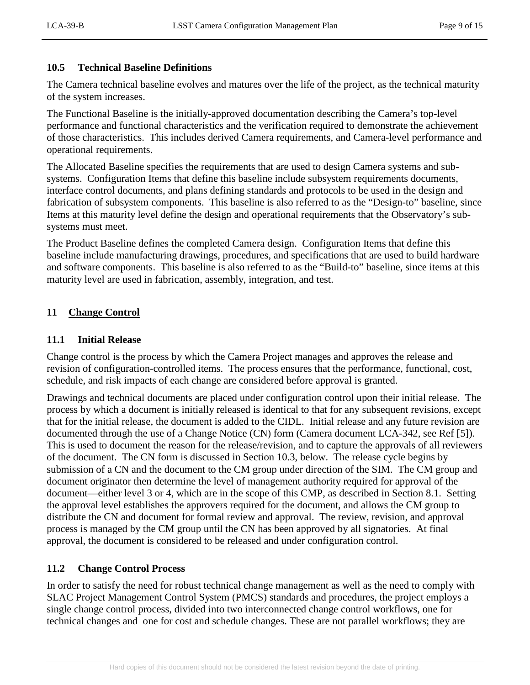#### <span id="page-8-0"></span>**10.5 Technical Baseline Definitions**

The Camera technical baseline evolves and matures over the life of the project, as the technical maturity of the system increases.

The Functional Baseline is the initially-approved documentation describing the Camera's top-level performance and functional characteristics and the verification required to demonstrate the achievement of those characteristics. This includes derived Camera requirements, and Camera-level performance and operational requirements.

The Allocated Baseline specifies the requirements that are used to design Camera systems and subsystems. Configuration Items that define this baseline include subsystem requirements documents, interface control documents, and plans defining standards and protocols to be used in the design and fabrication of subsystem components. This baseline is also referred to as the "Design-to" baseline, since Items at this maturity level define the design and operational requirements that the Observatory's subsystems must meet.

The Product Baseline defines the completed Camera design. Configuration Items that define this baseline include manufacturing drawings, procedures, and specifications that are used to build hardware and software components. This baseline is also referred to as the "Build-to" baseline, since items at this maturity level are used in fabrication, assembly, integration, and test.

#### <span id="page-8-2"></span><span id="page-8-1"></span>**11 Change Control**

#### **11.1 Initial Release**

Change control is the process by which the Camera Project manages and approves the release and revision of configuration-controlled items. The process ensures that the performance, functional, cost, schedule, and risk impacts of each change are considered before approval is granted.

Drawings and technical documents are placed under configuration control upon their initial release. The process by which a document is initially released is identical to that for any subsequent revisions, except that for the initial release, the document is added to the CIDL. Initial release and any future revision are documented through the use of a Change Notice (CN) form (Camera document LCA-342, see Ref [5]). This is used to document the reason for the release/revision, and to capture the approvals of all reviewers of the document. The CN form is discussed in Section 10.3, below. The release cycle begins by submission of a CN and the document to the CM group under direction of the SIM. The CM group and document originator then determine the level of management authority required for approval of the document—either level 3 or 4, which are in the scope of this CMP, as described in Section 8.1. Setting the approval level establishes the approvers required for the document, and allows the CM group to distribute the CN and document for formal review and approval. The review, revision, and approval process is managed by the CM group until the CN has been approved by all signatories. At final approval, the document is considered to be released and under configuration control.

# <span id="page-8-3"></span>**11.2 Change Control Process**

In order to satisfy the need for robust technical change management as well as the need to comply with SLAC Project Management Control System (PMCS) standards and procedures, the project employs a single change control process, divided into two interconnected change control workflows, one for technical changes and one for cost and schedule changes. These are not parallel workflows; they are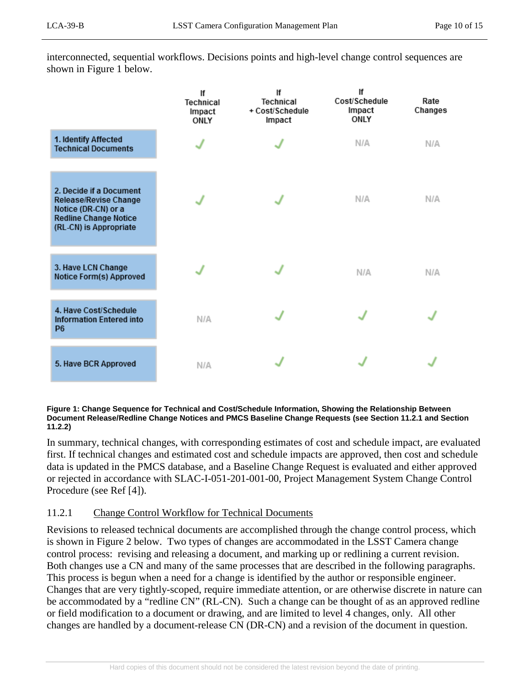interconnected, sequential workflows. Decisions points and high-level change control sequences are shown in [Figure 1](#page-9-1) [below.](#page-9-1)

|                                                                                                                                   | lf<br>Technical<br>Impact<br>ONLY | lf<br>Technical<br>+ Cost/Schedule<br>Impact | lf<br>Cost/Schedule<br>Impact<br>ONLY | Rate<br>Changes |
|-----------------------------------------------------------------------------------------------------------------------------------|-----------------------------------|----------------------------------------------|---------------------------------------|-----------------|
| 1. Identify Affected<br><b>Technical Documents</b>                                                                                |                                   |                                              | N/A                                   | N/A             |
| 2. Decide if a Document<br>Release/Revise Change<br>Notice (DR-CN) or a<br><b>Redline Change Notice</b><br>(RL-CN) is Appropriate |                                   |                                              | N/A                                   | N/A             |
| 3. Have LCN Change<br>Notice Form(s) Approved                                                                                     |                                   |                                              | N/A                                   | N/A             |
| 4. Have Cost/Schedule<br><b>Information Entered into</b><br>P <sub>6</sub>                                                        | N/A                               |                                              |                                       |                 |
| 5. Have BCR Approved                                                                                                              | N/A                               |                                              |                                       |                 |

#### <span id="page-9-1"></span>**Figure 1: Change Sequence for Technical and Cost/Schedule Information, Showing the Relationship Between Document Release/Redline Change Notices and PMCS Baseline Change Requests (see Section [11.2.1](#page-9-0) and Section [11.2.2\)](#page-11-0)**

In summary, technical changes, with corresponding estimates of cost and schedule impact, are evaluated first. If technical changes and estimated cost and schedule impacts are approved, then cost and schedule data is updated in the PMCS database, and a Baseline Change Request is evaluated and either approved or rejected in accordance with SLAC-I-051-201-001-00, Project Management System Change Control Procedure (see Ref [4]).

# <span id="page-9-0"></span>11.2.1 Change Control Workflow for Technical Documents

Revisions to released technical documents are accomplished through the change control process, which is shown in [Figure 2](#page-10-0) [below.](#page-10-0) Two types of changes are accommodated in the LSST Camera change control process: revising and releasing a document, and marking up or redlining a current revision. Both changes use a CN and many of the same processes that are described in the following paragraphs. This process is begun when a need for a change is identified by the author or responsible engineer. Changes that are very tightly-scoped, require immediate attention, or are otherwise discrete in nature can be accommodated by a "redline CN" (RL-CN). Such a change can be thought of as an approved redline or field modification to a document or drawing, and are limited to level 4 changes, only. All other changes are handled by a document-release CN (DR-CN) and a revision of the document in question.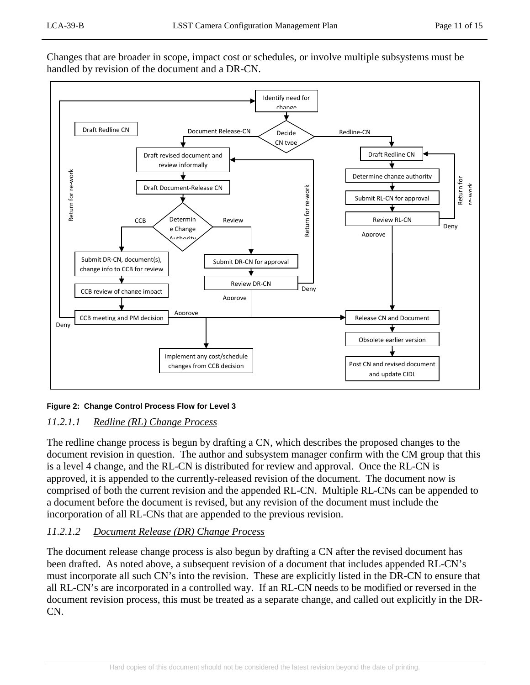Changes that are broader in scope, impact cost or schedules, or involve multiple subsystems must be handled by revision of the document and a DR-CN.



#### <span id="page-10-0"></span>**Figure 2: Change Control Process Flow for Level 3**

# *11.2.1.1 Redline (RL) Change Process*

The redline change process is begun by drafting a CN, which describes the proposed changes to the document revision in question. The author and subsystem manager confirm with the CM group that this is a level 4 change, and the RL-CN is distributed for review and approval. Once the RL-CN is approved, it is appended to the currently-released revision of the document. The document now is comprised of both the current revision and the appended RL-CN. Multiple RL-CNs can be appended to a document before the document is revised, but any revision of the document must include the incorporation of all RL-CNs that are appended to the previous revision.

# *11.2.1.2 Document Release (DR) Change Process*

The document release change process is also begun by drafting a CN after the revised document has been drafted. As noted above, a subsequent revision of a document that includes appended RL-CN's must incorporate all such CN's into the revision. These are explicitly listed in the DR-CN to ensure that all RL-CN's are incorporated in a controlled way. If an RL-CN needs to be modified or reversed in the document revision process, this must be treated as a separate change, and called out explicitly in the DR-CN.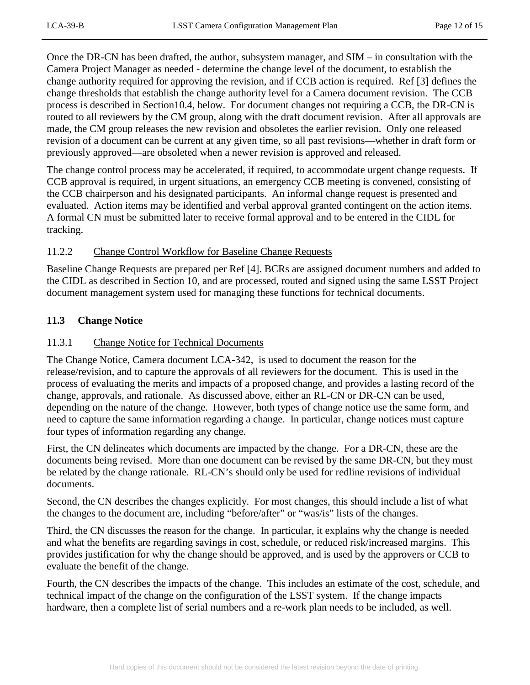Once the DR-CN has been drafted, the author, subsystem manager, and SIM – in consultation with the Camera Project Manager as needed - determine the change level of the document, to establish the change authority required for approving the revision, and if CCB action is required. Ref [3] defines the change thresholds that establish the change authority level for a Camera document revision. The CCB process is described in Section10.4, below. For document changes not requiring a CCB, the DR-CN is routed to all reviewers by the CM group, along with the draft document revision. After all approvals are made, the CM group releases the new revision and obsoletes the earlier revision. Only one released revision of a document can be current at any given time, so all past revisions—whether in draft form or previously approved—are obsoleted when a newer revision is approved and released.

The change control process may be accelerated, if required, to accommodate urgent change requests. If CCB approval is required, in urgent situations, an emergency CCB meeting is convened, consisting of the CCB chairperson and his designated participants. An informal change request is presented and evaluated. Action items may be identified and verbal approval granted contingent on the action items. A formal CN must be submitted later to receive formal approval and to be entered in the CIDL for tracking.

#### <span id="page-11-0"></span>11.2.2 Change Control Workflow for Baseline Change Requests

Baseline Change Requests are prepared per Ref [4]. BCRs are assigned document numbers and added to the CIDL as described in Section [10,](#page-5-1) and are processed, routed and signed using the same LSST Project document management system used for managing these functions for technical documents.

#### <span id="page-11-2"></span><span id="page-11-1"></span>**11.3 Change Notice**

#### 11.3.1 Change Notice for Technical Documents

The Change Notice, Camera document LCA-342, is used to document the reason for the release/revision, and to capture the approvals of all reviewers for the document. This is used in the process of evaluating the merits and impacts of a proposed change, and provides a lasting record of the change, approvals, and rationale. As discussed above, either an RL-CN or DR-CN can be used, depending on the nature of the change. However, both types of change notice use the same form, and need to capture the same information regarding a change. In particular, change notices must capture four types of information regarding any change.

First, the CN delineates which documents are impacted by the change. For a DR-CN, these are the documents being revised. More than one document can be revised by the same DR-CN, but they must be related by the change rationale. RL-CN's should only be used for redline revisions of individual documents.

Second, the CN describes the changes explicitly. For most changes, this should include a list of what the changes to the document are, including "before/after" or "was/is" lists of the changes.

Third, the CN discusses the reason for the change. In particular, it explains why the change is needed and what the benefits are regarding savings in cost, schedule, or reduced risk/increased margins. This provides justification for why the change should be approved, and is used by the approvers or CCB to evaluate the benefit of the change.

Fourth, the CN describes the impacts of the change. This includes an estimate of the cost, schedule, and technical impact of the change on the configuration of the LSST system. If the change impacts hardware, then a complete list of serial numbers and a re-work plan needs to be included, as well.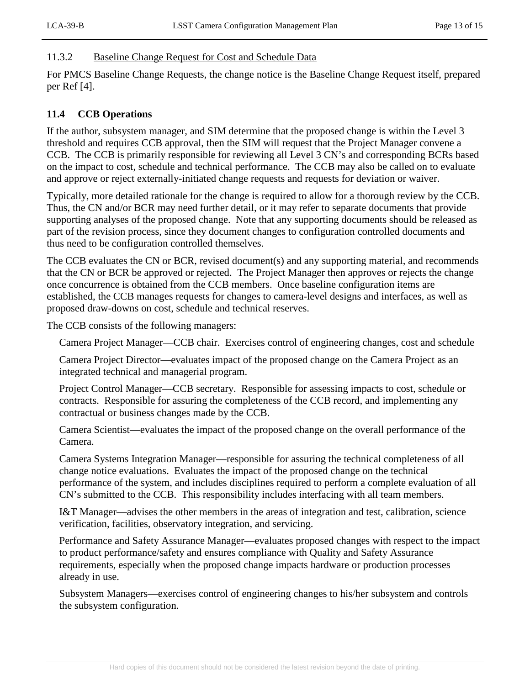#### <span id="page-12-0"></span>11.3.2 Baseline Change Request for Cost and Schedule Data

For PMCS Baseline Change Requests, the change notice is the Baseline Change Request itself, prepared per Ref [4].

# <span id="page-12-1"></span>**11.4 CCB Operations**

If the author, subsystem manager, and SIM determine that the proposed change is within the Level 3 threshold and requires CCB approval, then the SIM will request that the Project Manager convene a CCB. The CCB is primarily responsible for reviewing all Level 3 CN's and corresponding BCRs based on the impact to cost, schedule and technical performance. The CCB may also be called on to evaluate and approve or reject externally-initiated change requests and requests for deviation or waiver.

Typically, more detailed rationale for the change is required to allow for a thorough review by the CCB. Thus, the CN and/or BCR may need further detail, or it may refer to separate documents that provide supporting analyses of the proposed change. Note that any supporting documents should be released as part of the revision process, since they document changes to configuration controlled documents and thus need to be configuration controlled themselves.

The CCB evaluates the CN or BCR, revised document(s) and any supporting material, and recommends that the CN or BCR be approved or rejected. The Project Manager then approves or rejects the change once concurrence is obtained from the CCB members. Once baseline configuration items are established, the CCB manages requests for changes to camera-level designs and interfaces, as well as proposed draw-downs on cost, schedule and technical reserves.

The CCB consists of the following managers:

Camera Project Manager—CCB chair. Exercises control of engineering changes, cost and schedule

Camera Project Director—evaluates impact of the proposed change on the Camera Project as an integrated technical and managerial program.

Project Control Manager—CCB secretary. Responsible for assessing impacts to cost, schedule or contracts. Responsible for assuring the completeness of the CCB record, and implementing any contractual or business changes made by the CCB.

Camera Scientist—evaluates the impact of the proposed change on the overall performance of the Camera.

Camera Systems Integration Manager—responsible for assuring the technical completeness of all change notice evaluations. Evaluates the impact of the proposed change on the technical performance of the system, and includes disciplines required to perform a complete evaluation of all CN's submitted to the CCB. This responsibility includes interfacing with all team members.

I&T Manager—advises the other members in the areas of integration and test, calibration, science verification, facilities, observatory integration, and servicing.

Performance and Safety Assurance Manager—evaluates proposed changes with respect to the impact to product performance/safety and ensures compliance with Quality and Safety Assurance requirements, especially when the proposed change impacts hardware or production processes already in use.

Subsystem Managers—exercises control of engineering changes to his/her subsystem and controls the subsystem configuration.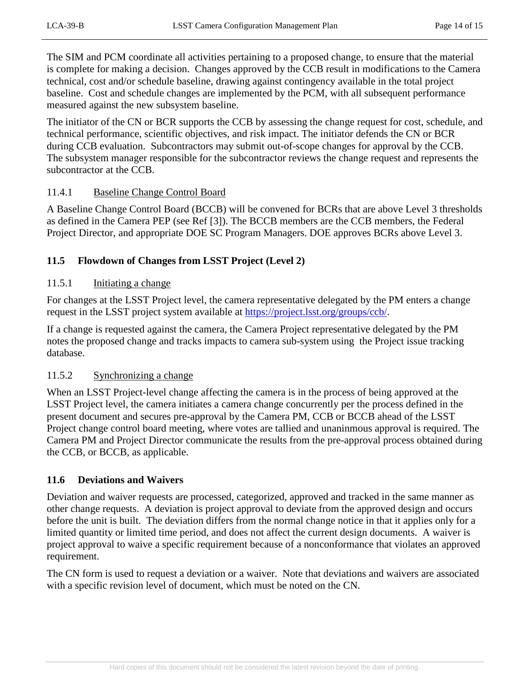The SIM and PCM coordinate all activities pertaining to a proposed change, to ensure that the material is complete for making a decision. Changes approved by the CCB result in modifications to the Camera technical, cost and/or schedule baseline, drawing against contingency available in the total project baseline. Cost and schedule changes are implemented by the PCM, with all subsequent performance measured against the new subsystem baseline.

The initiator of the CN or BCR supports the CCB by assessing the change request for cost, schedule, and technical performance, scientific objectives, and risk impact. The initiator defends the CN or BCR during CCB evaluation. Subcontractors may submit out-of-scope changes for approval by the CCB. The subsystem manager responsible for the subcontractor reviews the change request and represents the subcontractor at the CCB.

#### <span id="page-13-0"></span>11.4.1 Baseline Change Control Board

A Baseline Change Control Board (BCCB) will be convened for BCRs that are above Level 3 thresholds as defined in the Camera PEP (see Ref [3]). The BCCB members are the CCB members, the Federal Project Director, and appropriate DOE SC Program Managers. DOE approves BCRs above Level 3.

# <span id="page-13-2"></span><span id="page-13-1"></span>**11.5 Flowdown of Changes from LSST Project (Level 2)**

#### 11.5.1 Initiating a change

For changes at the LSST Project level, the camera representative delegated by the PM enters a change request in the LSST project system available at [https://project.lsst.org/groups/ccb/.](https://project.lsst.org/groups/ccb/)

If a change is requested against the camera, the Camera Project representative delegated by the PM notes the proposed change and tracks impacts to camera sub-system using the Project issue tracking database.

#### <span id="page-13-3"></span>11.5.2 Synchronizing a change

When an LSST Project-level change affecting the camera is in the process of being approved at the LSST Project level, the camera initiates a camera change concurrently per the process defined in the present document and secures pre-approval by the Camera PM, CCB or BCCB ahead of the LSST Project change control board meeting, where votes are tallied and unaninmous approval is required. The Camera PM and Project Director communicate the results from the pre-approval process obtained during the CCB, or BCCB, as applicable.

# <span id="page-13-4"></span>**11.6 Deviations and Waivers**

Deviation and waiver requests are processed, categorized, approved and tracked in the same manner as other change requests. A deviation is project approval to deviate from the approved design and occurs before the unit is built. The deviation differs from the normal change notice in that it applies only for a limited quantity or limited time period, and does not affect the current design documents. A waiver is project approval to waive a specific requirement because of a nonconformance that violates an approved requirement.

The CN form is used to request a deviation or a waiver. Note that deviations and waivers are associated with a specific revision level of document, which must be noted on the CN.